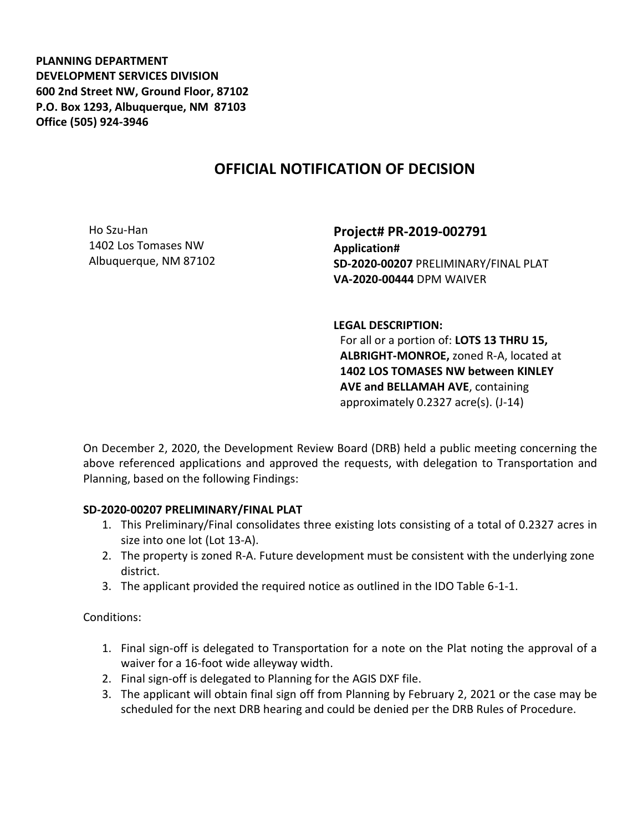**PLANNING DEPARTMENT DEVELOPMENT SERVICES DIVISION 600 2nd Street NW, Ground Floor, 87102 P.O. Box 1293, Albuquerque, NM 87103 Office (505) 924-3946** 

## **OFFICIAL NOTIFICATION OF DECISION**

Ho Szu-Han 1402 Los Tomases NW Albuquerque, NM 87102

**Project# PR-2019-002791 Application# SD-2020-00207** PRELIMINARY/FINAL PLAT **VA-2020-00444** DPM WAIVER

**LEGAL DESCRIPTION:**

For all or a portion of: **LOTS 13 THRU 15, ALBRIGHT-MONROE,** zoned R-A, located at **1402 LOS TOMASES NW between KINLEY AVE and BELLAMAH AVE**, containing approximately 0.2327 acre(s). (J-14)

On December 2, 2020, the Development Review Board (DRB) held a public meeting concerning the above referenced applications and approved the requests, with delegation to Transportation and Planning, based on the following Findings:

## **SD-2020-00207 PRELIMINARY/FINAL PLAT**

- 1. This Preliminary/Final consolidates three existing lots consisting of a total of 0.2327 acres in size into one lot (Lot 13-A).
- 2. The property is zoned R-A. Future development must be consistent with the underlying zone district.
- 3. The applicant provided the required notice as outlined in the IDO Table 6-1-1.

Conditions:

- 1. Final sign-off is delegated to Transportation for a note on the Plat noting the approval of a waiver for a 16-foot wide alleyway width.
- 2. Final sign-off is delegated to Planning for the AGIS DXF file.
- 3. The applicant will obtain final sign off from Planning by February 2, 2021 or the case may be scheduled for the next DRB hearing and could be denied per the DRB Rules of Procedure.